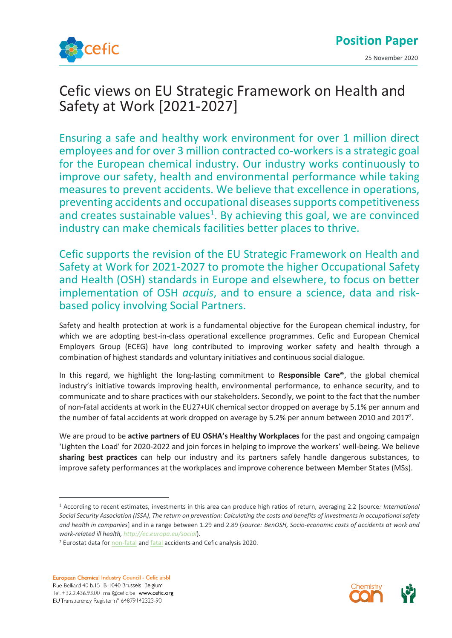

## Cefic views on EU Strategic Framework on Health and Safety at Work [2021-2027]

Ensuring a safe and healthy work environment for over 1 million direct employees and for over 3 million contracted co-workers is a strategic goal for the European chemical industry. Our industry works continuously to improve our safety, health and environmental performance while taking measures to prevent accidents. We believe that excellence in operations, preventing accidents and occupational diseasessupports competitiveness and creates sustainable values $<sup>1</sup>$ . By achieving this goal, we are convinced</sup> industry can make chemicals facilities better places to thrive.

Cefic supports the revision of the EU Strategic Framework on Health and Safety at Work for 2021-2027 to promote the higher Occupational Safety and Health (OSH) standards in Europe and elsewhere, to focus on better implementation of OSH *acquis*, and to ensure a science, data and riskbased policy involving Social Partners.

Safety and health protection at work is a fundamental objective for the European chemical industry, for which we are adopting best-in-class operational excellence programmes. Cefic and European Chemical Employers Group (ECEG) have long contributed to improving worker safety and health through a combination of highest standards and voluntary initiatives and continuous social dialogue.

In this regard, we highlight the long-lasting commitment to **Responsible Care®**, the global chemical industry's initiative towards improving health, environmental performance, to enhance security, and to communicate and to share practices with our stakeholders. Secondly, we point to the fact that the number of non-fatal accidents at work in the EU27+UK chemical sector dropped on average by 5.1% per annum and the number of fatal accidents at work dropped on average by 5.2% per annum between 2010 and 2017<sup>2</sup>.

We are proud to be **active partners of EU OSHA's Healthy Workplaces** for the past and ongoing campaign 'Lighten the Load' for 2020-2022 and join forces in helping to improve the workers' well-being. We believe **sharing best practices** can help our industry and its partners safely handle dangerous substances, to improve safety performances at the workplaces and improve coherence between Member States (MSs).



<sup>1</sup> According to recent estimates, investments in this area can produce high ratios of return, averaging 2.2 [source*: International Social Security Association (ISSA), The return on prevention: Calculating the costs and benefits of investments in occupational safety and health in companies*] and in a range between 1.29 and 2.89 (*source: BenOSH, Socio-economic costs of accidents at work and work-related ill health,<http://ec.europa.eu/social>*).

<sup>&</sup>lt;sup>2</sup> Eurostat data for [non-fatal](http://appsso.eurostat.ec.europa.eu/nui/show.do?dataset=hsw_n2_01&lang=en) an[d fatal](http://appsso.eurostat.ec.europa.eu/nui/show.do?dataset=hsw_n2_02&lang=en) accidents and Cefic analysis 2020.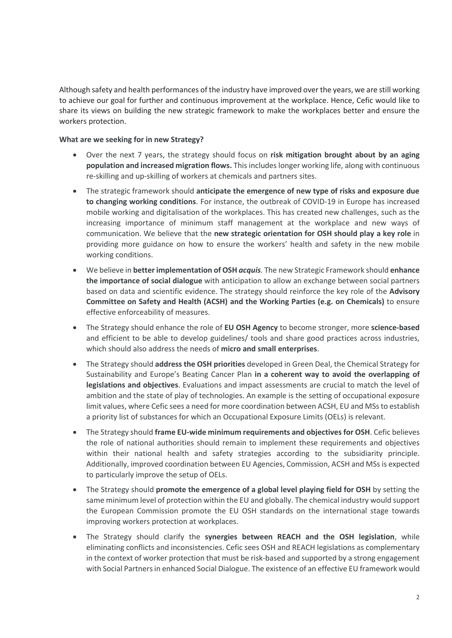Although safety and health performances of the industry have improved over the years, we are still working to achieve our goal for further and continuous improvement at the workplace. Hence, Cefic would like to share its views on building the new strategic framework to make the workplaces better and ensure the workers protection.

## **What are we seeking for in new Strategy?**

- Over the next 7 years, the strategy should focus on **risk mitigation brought about by an aging population and increased migration flows.** This includes longer working life, along with continuous re-skilling and up-skilling of workers at chemicals and partners sites.
- The strategic framework should **anticipate the emergence of new type of risks and exposure due to changing working conditions**. For instance, the outbreak of COVID-19 in Europe has increased mobile working and digitalisation of the workplaces. This has created new challenges, such as the increasing importance of minimum staff management at the workplace and new ways of communication. We believe that the **new strategic orientation for OSH should play a key role** in providing more guidance on how to ensure the workers' health and safety in the new mobile working conditions.
- We believe in **better implementation of OSH** *acquis.* The new Strategic Framework should **enhance the importance of social dialogue** with anticipation to allow an exchange between social partners based on data and scientific evidence. The strategy should reinforce the key role of the **Advisory Committee on Safety and Health (ACSH) and the Working Parties (e.g. on Chemicals)** to ensure effective enforceability of measures.
- The Strategy should enhance the role of **EU OSH Agency** to become stronger, more **science-based** and efficient to be able to develop guidelines/ tools and share good practices across industries, which should also address the needs of **micro and small enterprises**.
- The Strategy should **address the OSH priorities** developed in Green Deal, the Chemical Strategy for Sustainability and Europe's Beating Cancer Plan **in a coherent way to avoid the overlapping of legislations and objectives**. Evaluations and impact assessments are crucial to match the level of ambition and the state of play of technologies. An example is the setting of occupational exposure limit values, where Cefic sees a need for more coordination between ACSH, EU and MSs to establish a priority list of substances for which an Occupational Exposure Limits (OELs) is relevant.
- The Strategy should **frame EU-wide minimum requirements and objectives for OSH**. Cefic believes the role of national authorities should remain to implement these requirements and objectives within their national health and safety strategies according to the subsidiarity principle. Additionally, improved coordination between EU Agencies, Commission, ACSH and MSs is expected to particularly improve the setup of OELs.
- The Strategy should **promote the emergence of a global level playing field for OSH** by setting the same minimum level of protection within the EU and globally. The chemical industry would support the European Commission promote the EU OSH standards on the international stage towards improving workers protection at workplaces.
- The Strategy should clarify the **synergies between REACH and the OSH legislation**, while eliminating conflicts and inconsistencies. Cefic sees OSH and REACH legislations as complementary in the context of worker protection that must be risk-based and supported by a strong engagement with Social Partners in enhanced Social Dialogue. The existence of an effective EU framework would